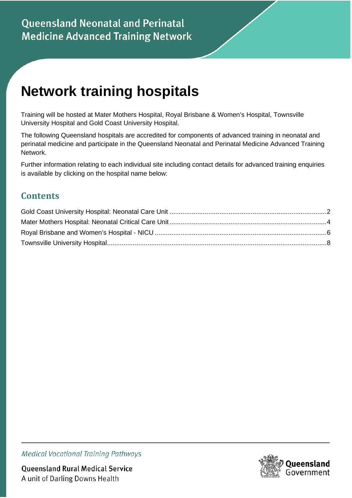# **Network training hospitals**

Training will be hosted at Mater Mothers Hospital, Royal Brisbane & Women's Hospital, Townsville University Hospital and Gold Coast University Hospital.

The following Queensland hospitals are accredited for components of advanced training in neonatal and perinatal medicine and participate in the Queensland Neonatal and Perinatal Medicine Advanced Training Network.

Further information relating to each individual site including contact details for advanced training enquiries is available by clicking on the hospital name below:

#### **Contents**



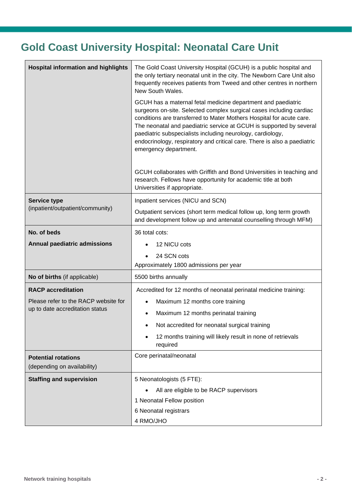### <span id="page-1-0"></span>**Gold Coast University Hospital: Neonatal Care Unit**

| <b>Hospital information and highlights</b>                              | The Gold Coast University Hospital (GCUH) is a public hospital and<br>the only tertiary neonatal unit in the city. The Newborn Care Unit also<br>frequently receives patients from Tweed and other centres in northern<br>New South Wales.<br>GCUH has a maternal fetal medicine department and paediatric<br>surgeons on-site. Selected complex surgical cases including cardiac<br>conditions are transferred to Mater Mothers Hospital for acute care.<br>The neonatal and paediatric service at GCUH is supported by several<br>paediatric subspecialists including neurology, cardiology,<br>endocrinology, respiratory and critical care. There is also a paediatric<br>emergency department. |  |  |
|-------------------------------------------------------------------------|-----------------------------------------------------------------------------------------------------------------------------------------------------------------------------------------------------------------------------------------------------------------------------------------------------------------------------------------------------------------------------------------------------------------------------------------------------------------------------------------------------------------------------------------------------------------------------------------------------------------------------------------------------------------------------------------------------|--|--|
|                                                                         |                                                                                                                                                                                                                                                                                                                                                                                                                                                                                                                                                                                                                                                                                                     |  |  |
|                                                                         | GCUH collaborates with Griffith and Bond Universities in teaching and<br>research. Fellows have opportunity for academic title at both<br>Universities if appropriate.                                                                                                                                                                                                                                                                                                                                                                                                                                                                                                                              |  |  |
| <b>Service type</b>                                                     | Inpatient services (NICU and SCN)                                                                                                                                                                                                                                                                                                                                                                                                                                                                                                                                                                                                                                                                   |  |  |
| (inpatient/outpatient/community)                                        | Outpatient services (short term medical follow up, long term growth<br>and development follow up and antenatal counselling through MFM)                                                                                                                                                                                                                                                                                                                                                                                                                                                                                                                                                             |  |  |
| No. of beds                                                             | 36 total cots:                                                                                                                                                                                                                                                                                                                                                                                                                                                                                                                                                                                                                                                                                      |  |  |
| Annual paediatric admissions                                            | 12 NICU cots                                                                                                                                                                                                                                                                                                                                                                                                                                                                                                                                                                                                                                                                                        |  |  |
|                                                                         | 24 SCN cots<br>Approximately 1800 admissions per year                                                                                                                                                                                                                                                                                                                                                                                                                                                                                                                                                                                                                                               |  |  |
| No of births (if applicable)                                            | 5500 births annually                                                                                                                                                                                                                                                                                                                                                                                                                                                                                                                                                                                                                                                                                |  |  |
| <b>RACP</b> accreditation                                               | Accredited for 12 months of neonatal perinatal medicine training:                                                                                                                                                                                                                                                                                                                                                                                                                                                                                                                                                                                                                                   |  |  |
| Please refer to the RACP website for<br>up to date accreditation status | Maximum 12 months core training                                                                                                                                                                                                                                                                                                                                                                                                                                                                                                                                                                                                                                                                     |  |  |
|                                                                         | Maximum 12 months perinatal training                                                                                                                                                                                                                                                                                                                                                                                                                                                                                                                                                                                                                                                                |  |  |
|                                                                         | Not accredited for neonatal surgical training                                                                                                                                                                                                                                                                                                                                                                                                                                                                                                                                                                                                                                                       |  |  |
|                                                                         | 12 months training will likely result in none of retrievals<br>required                                                                                                                                                                                                                                                                                                                                                                                                                                                                                                                                                                                                                             |  |  |
| <b>Potential rotations</b><br>(depending on availability)               | Core perinatal/neonatal                                                                                                                                                                                                                                                                                                                                                                                                                                                                                                                                                                                                                                                                             |  |  |
| <b>Staffing and supervision</b>                                         | 5 Neonatologists (5 FTE):                                                                                                                                                                                                                                                                                                                                                                                                                                                                                                                                                                                                                                                                           |  |  |
|                                                                         | All are eligible to be RACP supervisors                                                                                                                                                                                                                                                                                                                                                                                                                                                                                                                                                                                                                                                             |  |  |
|                                                                         | 1 Neonatal Fellow position                                                                                                                                                                                                                                                                                                                                                                                                                                                                                                                                                                                                                                                                          |  |  |
|                                                                         | 6 Neonatal registrars                                                                                                                                                                                                                                                                                                                                                                                                                                                                                                                                                                                                                                                                               |  |  |
|                                                                         | 4 RMO/JHO                                                                                                                                                                                                                                                                                                                                                                                                                                                                                                                                                                                                                                                                                           |  |  |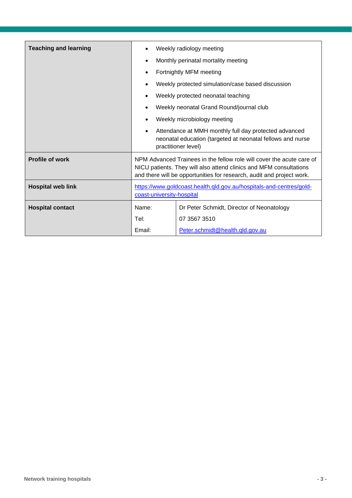| <b>Teaching and learning</b> | Weekly radiology meeting<br>$\bullet$                                                                                                                                                                                |                                                                                                                                            |
|------------------------------|----------------------------------------------------------------------------------------------------------------------------------------------------------------------------------------------------------------------|--------------------------------------------------------------------------------------------------------------------------------------------|
|                              | Monthly perinatal mortality meeting<br>$\bullet$                                                                                                                                                                     |                                                                                                                                            |
|                              | Fortnightly MFM meeting<br>$\bullet$                                                                                                                                                                                 |                                                                                                                                            |
|                              | $\bullet$                                                                                                                                                                                                            | Weekly protected simulation/case based discussion                                                                                          |
|                              | Weekly protected neonatal teaching<br>$\bullet$                                                                                                                                                                      |                                                                                                                                            |
|                              | Weekly neonatal Grand Round/journal club<br>$\bullet$                                                                                                                                                                |                                                                                                                                            |
|                              | Weekly microbiology meeting<br>$\bullet$                                                                                                                                                                             |                                                                                                                                            |
|                              | $\bullet$                                                                                                                                                                                                            | Attendance at MMH monthly full day protected advanced<br>neonatal education (targeted at neonatal fellows and nurse<br>practitioner level) |
| <b>Profile of work</b>       | NPM Advanced Trainees in the fellow role will cover the acute care of<br>NICU patients. They will also attend clinics and MFM consultations<br>and there will be opportunities for research, audit and project work. |                                                                                                                                            |
| <b>Hospital web link</b>     | https://www.goldcoast.health.qld.gov.au/hospitals-and-centres/gold-<br>coast-university-hospital                                                                                                                     |                                                                                                                                            |
| <b>Hospital contact</b>      | Name:                                                                                                                                                                                                                | Dr Peter Schmidt, Director of Neonatology                                                                                                  |
|                              | Tel:                                                                                                                                                                                                                 | 07 3567 3510                                                                                                                               |
|                              | Email:                                                                                                                                                                                                               | Peter.schmidt@health.qld.gov.au                                                                                                            |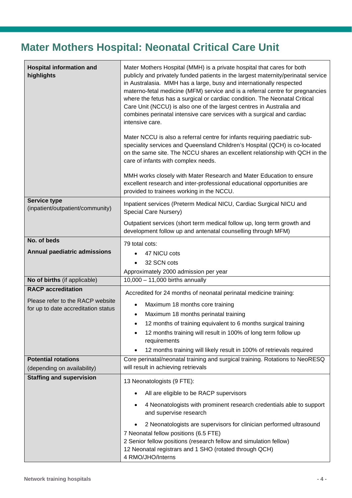### <span id="page-3-0"></span>**Mater Mothers Hospital: Neonatal Critical Care Unit**

| <b>Hospital information and</b><br>highlights                           | Mater Mothers Hospital (MMH) is a private hospital that cares for both<br>publicly and privately funded patients in the largest maternity/perinatal service<br>in Australasia. MMH has a large, busy and internationally respected<br>materno-fetal medicine (MFM) service and is a referral centre for pregnancies<br>where the fetus has a surgical or cardiac condition. The Neonatal Critical<br>Care Unit (NCCU) is also one of the largest centres in Australia and<br>combines perinatal intensive care services with a surgical and cardiac<br>intensive care.<br>Mater NCCU is also a referral centre for infants requiring paediatric sub-<br>speciality services and Queensland Children's Hospital (QCH) is co-located<br>on the same site. The NCCU shares an excellent relationship with QCH in the<br>care of infants with complex needs.<br>MMH works closely with Mater Research and Mater Education to ensure<br>excellent research and inter-professional educational opportunities are |
|-------------------------------------------------------------------------|------------------------------------------------------------------------------------------------------------------------------------------------------------------------------------------------------------------------------------------------------------------------------------------------------------------------------------------------------------------------------------------------------------------------------------------------------------------------------------------------------------------------------------------------------------------------------------------------------------------------------------------------------------------------------------------------------------------------------------------------------------------------------------------------------------------------------------------------------------------------------------------------------------------------------------------------------------------------------------------------------------|
| Service type                                                            | provided to trainees working in the NCCU.                                                                                                                                                                                                                                                                                                                                                                                                                                                                                                                                                                                                                                                                                                                                                                                                                                                                                                                                                                  |
| (inpatient/outpatient/community)                                        | Inpatient services (Preterm Medical NICU, Cardiac Surgical NICU and<br>Special Care Nursery)                                                                                                                                                                                                                                                                                                                                                                                                                                                                                                                                                                                                                                                                                                                                                                                                                                                                                                               |
|                                                                         | Outpatient services (short term medical follow up, long term growth and<br>development follow up and antenatal counselling through MFM)                                                                                                                                                                                                                                                                                                                                                                                                                                                                                                                                                                                                                                                                                                                                                                                                                                                                    |
| No. of beds                                                             | 79 total cots:                                                                                                                                                                                                                                                                                                                                                                                                                                                                                                                                                                                                                                                                                                                                                                                                                                                                                                                                                                                             |
| <b>Annual paediatric admissions</b>                                     | 47 NICU cots<br>$\bullet$                                                                                                                                                                                                                                                                                                                                                                                                                                                                                                                                                                                                                                                                                                                                                                                                                                                                                                                                                                                  |
|                                                                         | 32 SCN cots                                                                                                                                                                                                                                                                                                                                                                                                                                                                                                                                                                                                                                                                                                                                                                                                                                                                                                                                                                                                |
|                                                                         | Approximately 2000 admission per year                                                                                                                                                                                                                                                                                                                                                                                                                                                                                                                                                                                                                                                                                                                                                                                                                                                                                                                                                                      |
| No of births (if applicable)                                            | $10,000 - 11,000$ births annually                                                                                                                                                                                                                                                                                                                                                                                                                                                                                                                                                                                                                                                                                                                                                                                                                                                                                                                                                                          |
| <b>RACP</b> accreditation                                               | Accredited for 24 months of neonatal perinatal medicine training:                                                                                                                                                                                                                                                                                                                                                                                                                                                                                                                                                                                                                                                                                                                                                                                                                                                                                                                                          |
| Please refer to the RACP website<br>for up to date accreditation status | Maximum 18 months core training<br>$\bullet$                                                                                                                                                                                                                                                                                                                                                                                                                                                                                                                                                                                                                                                                                                                                                                                                                                                                                                                                                               |
|                                                                         | Maximum 18 months perinatal training<br>$\bullet$                                                                                                                                                                                                                                                                                                                                                                                                                                                                                                                                                                                                                                                                                                                                                                                                                                                                                                                                                          |
|                                                                         | 12 months of training equivalent to 6 months surgical training<br>$\bullet$                                                                                                                                                                                                                                                                                                                                                                                                                                                                                                                                                                                                                                                                                                                                                                                                                                                                                                                                |
|                                                                         | 12 months training will result in 100% of long term follow up<br>٠<br>requirements                                                                                                                                                                                                                                                                                                                                                                                                                                                                                                                                                                                                                                                                                                                                                                                                                                                                                                                         |
|                                                                         | 12 months training will likely result in 100% of retrievals required<br>$\bullet$                                                                                                                                                                                                                                                                                                                                                                                                                                                                                                                                                                                                                                                                                                                                                                                                                                                                                                                          |
| <b>Potential rotations</b>                                              | Core perinatal/neonatal training and surgical training. Rotations to NeoRESQ                                                                                                                                                                                                                                                                                                                                                                                                                                                                                                                                                                                                                                                                                                                                                                                                                                                                                                                               |
| (depending on availability)                                             | will result in achieving retrievals                                                                                                                                                                                                                                                                                                                                                                                                                                                                                                                                                                                                                                                                                                                                                                                                                                                                                                                                                                        |
| <b>Staffing and supervision</b>                                         | 13 Neonatologists (9 FTE):                                                                                                                                                                                                                                                                                                                                                                                                                                                                                                                                                                                                                                                                                                                                                                                                                                                                                                                                                                                 |
|                                                                         | All are eligible to be RACP supervisors                                                                                                                                                                                                                                                                                                                                                                                                                                                                                                                                                                                                                                                                                                                                                                                                                                                                                                                                                                    |
|                                                                         | 4 Neonatologists with prominent research credentials able to support<br>٠<br>and supervise research                                                                                                                                                                                                                                                                                                                                                                                                                                                                                                                                                                                                                                                                                                                                                                                                                                                                                                        |
|                                                                         | 2 Neonatologists are supervisors for clinician performed ultrasound<br>$\bullet$<br>7 Neonatal fellow positions (6.5 FTE)<br>2 Senior fellow positions (research fellow and simulation fellow)<br>12 Neonatal registrars and 1 SHO (rotated through QCH)<br>4 RMO/JHO/Interns                                                                                                                                                                                                                                                                                                                                                                                                                                                                                                                                                                                                                                                                                                                              |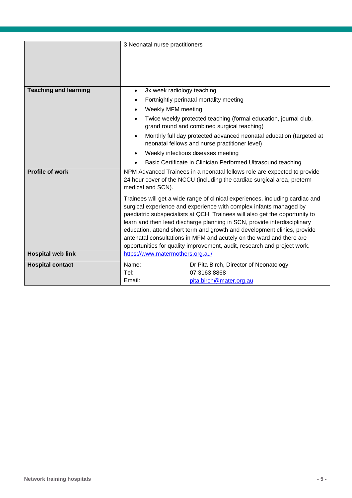|                              | 3 Neonatal nurse practitioners                                                                                                                                                                                                     |                                                                                                                       |  |
|------------------------------|------------------------------------------------------------------------------------------------------------------------------------------------------------------------------------------------------------------------------------|-----------------------------------------------------------------------------------------------------------------------|--|
|                              |                                                                                                                                                                                                                                    |                                                                                                                       |  |
|                              |                                                                                                                                                                                                                                    |                                                                                                                       |  |
|                              |                                                                                                                                                                                                                                    |                                                                                                                       |  |
| <b>Teaching and learning</b> | $\bullet$                                                                                                                                                                                                                          | 3x week radiology teaching                                                                                            |  |
|                              |                                                                                                                                                                                                                                    | Fortnightly perinatal mortality meeting                                                                               |  |
|                              | Weekly MFM meeting                                                                                                                                                                                                                 |                                                                                                                       |  |
|                              | $\bullet$                                                                                                                                                                                                                          | Twice weekly protected teaching (formal education, journal club,<br>grand round and combined surgical teaching)       |  |
|                              |                                                                                                                                                                                                                                    | Monthly full day protected advanced neonatal education (targeted at<br>neonatal fellows and nurse practitioner level) |  |
|                              |                                                                                                                                                                                                                                    | Weekly infectious diseases meeting                                                                                    |  |
|                              | Basic Certificate in Clinician Performed Ultrasound teaching                                                                                                                                                                       |                                                                                                                       |  |
| <b>Profile of work</b>       | NPM Advanced Trainees in a neonatal fellows role are expected to provide<br>24 hour cover of the NCCU (including the cardiac surgical area, preterm<br>medical and SCN).                                                           |                                                                                                                       |  |
|                              | Trainees will get a wide range of clinical experiences, including cardiac and<br>surgical experience and experience with complex infants managed by<br>paediatric subspecialists at QCH. Trainees will also get the opportunity to |                                                                                                                       |  |
|                              | learn and then lead discharge planning in SCN, provide interdisciplinary<br>education, attend short term and growth and development clinics, provide                                                                               |                                                                                                                       |  |
|                              | antenatal consultations in MFM and acutely on the ward and there are                                                                                                                                                               |                                                                                                                       |  |
|                              | opportunities for quality improvement, audit, research and project work.                                                                                                                                                           |                                                                                                                       |  |
| <b>Hospital web link</b>     | https://www.matermothers.org.au/                                                                                                                                                                                                   |                                                                                                                       |  |
| <b>Hospital contact</b>      | Name:                                                                                                                                                                                                                              | Dr Pita Birch, Director of Neonatology                                                                                |  |
|                              | Tel:                                                                                                                                                                                                                               | 07 3163 8868                                                                                                          |  |
|                              | Email:                                                                                                                                                                                                                             | pita.birch@mater.org.au                                                                                               |  |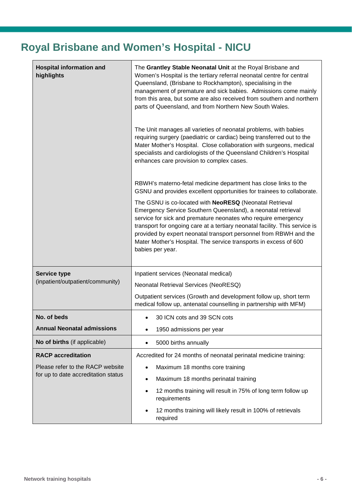# <span id="page-5-0"></span>**Royal Brisbane and Women's Hospital - NICU**

| <b>Hospital information and</b><br>highlights | The Grantley Stable Neonatal Unit at the Royal Brisbane and<br>Women's Hospital is the tertiary referral neonatal centre for central<br>Queensland, (Brisbane to Rockhampton), specialising in the<br>management of premature and sick babies. Admissions come mainly<br>from this area, but some are also received from southern and northern<br>parts of Queensland, and from Northern New South Wales.                            |  |  |
|-----------------------------------------------|--------------------------------------------------------------------------------------------------------------------------------------------------------------------------------------------------------------------------------------------------------------------------------------------------------------------------------------------------------------------------------------------------------------------------------------|--|--|
|                                               | The Unit manages all varieties of neonatal problems, with babies<br>requiring surgery (paediatric or cardiac) being transferred out to the<br>Mater Mother's Hospital. Close collaboration with surgeons, medical<br>specialists and cardiologists of the Queensland Children's Hospital<br>enhances care provision to complex cases.                                                                                                |  |  |
|                                               | RBWH's materno-fetal medicine department has close links to the<br>GSNU and provides excellent opportunities for trainees to collaborate.                                                                                                                                                                                                                                                                                            |  |  |
|                                               | The GSNU is co-located with NeoRESQ (Neonatal Retrieval<br>Emergency Service Southern Queensland), a neonatal retrieval<br>service for sick and premature neonates who require emergency<br>transport for ongoing care at a tertiary neonatal facility. This service is<br>provided by expert neonatal transport personnel from RBWH and the<br>Mater Mother's Hospital. The service transports in excess of 600<br>babies per year. |  |  |
| <b>Service type</b>                           | Inpatient services (Neonatal medical)                                                                                                                                                                                                                                                                                                                                                                                                |  |  |
| (inpatient/outpatient/community)              | Neonatal Retrieval Services (NeoRESQ)                                                                                                                                                                                                                                                                                                                                                                                                |  |  |
|                                               | Outpatient services (Growth and development follow up, short term<br>medical follow up, antenatal counselling in partnership with MFM)                                                                                                                                                                                                                                                                                               |  |  |
| No. of beds                                   | 30 ICN cots and 39 SCN cots                                                                                                                                                                                                                                                                                                                                                                                                          |  |  |
| <b>Annual Neonatal admissions</b>             | 1950 admissions per year                                                                                                                                                                                                                                                                                                                                                                                                             |  |  |
| No of births (if applicable)                  | 5000 births annually                                                                                                                                                                                                                                                                                                                                                                                                                 |  |  |
| <b>RACP</b> accreditation                     | Accredited for 24 months of neonatal perinatal medicine training:                                                                                                                                                                                                                                                                                                                                                                    |  |  |
| Please refer to the RACP website              | Maximum 18 months core training<br>$\bullet$                                                                                                                                                                                                                                                                                                                                                                                         |  |  |
| for up to date accreditation status           | Maximum 18 months perinatal training<br>$\bullet$                                                                                                                                                                                                                                                                                                                                                                                    |  |  |
|                                               | 12 months training will result in 75% of long term follow up<br>$\bullet$<br>requirements                                                                                                                                                                                                                                                                                                                                            |  |  |
|                                               | 12 months training will likely result in 100% of retrievals<br>$\bullet$<br>required                                                                                                                                                                                                                                                                                                                                                 |  |  |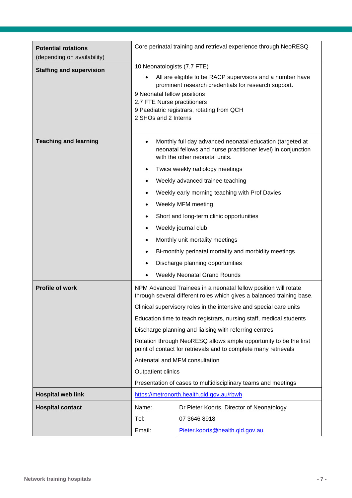| <b>Potential rotations</b><br>(depending on availability) | Core perinatal training and retrieval experience through NeoRESQ                                                                                                                                                                                      |                                                                                                                                                              |  |
|-----------------------------------------------------------|-------------------------------------------------------------------------------------------------------------------------------------------------------------------------------------------------------------------------------------------------------|--------------------------------------------------------------------------------------------------------------------------------------------------------------|--|
| <b>Staffing and supervision</b>                           | 10 Neonatologists (7.7 FTE)                                                                                                                                                                                                                           |                                                                                                                                                              |  |
|                                                           | All are eligible to be RACP supervisors and a number have<br>prominent research credentials for research support.<br>9 Neonatal fellow positions<br>2.7 FTE Nurse practitioners<br>9 Paediatric registrars, rotating from QCH<br>2 SHOs and 2 Interns |                                                                                                                                                              |  |
| <b>Teaching and learning</b>                              | $\bullet$                                                                                                                                                                                                                                             | Monthly full day advanced neonatal education (targeted at<br>neonatal fellows and nurse practitioner level) in conjunction<br>with the other neonatal units. |  |
|                                                           | $\bullet$                                                                                                                                                                                                                                             | Twice weekly radiology meetings                                                                                                                              |  |
|                                                           |                                                                                                                                                                                                                                                       | Weekly advanced trainee teaching                                                                                                                             |  |
|                                                           |                                                                                                                                                                                                                                                       | Weekly early morning teaching with Prof Davies                                                                                                               |  |
|                                                           | ٠                                                                                                                                                                                                                                                     | Weekly MFM meeting                                                                                                                                           |  |
|                                                           |                                                                                                                                                                                                                                                       | Short and long-term clinic opportunities                                                                                                                     |  |
|                                                           | $\bullet$                                                                                                                                                                                                                                             | Weekly journal club                                                                                                                                          |  |
|                                                           | ٠                                                                                                                                                                                                                                                     | Monthly unit mortality meetings                                                                                                                              |  |
|                                                           | $\bullet$                                                                                                                                                                                                                                             | Bi-monthly perinatal mortality and morbidity meetings                                                                                                        |  |
|                                                           |                                                                                                                                                                                                                                                       | Discharge planning opportunities                                                                                                                             |  |
|                                                           |                                                                                                                                                                                                                                                       | <b>Weekly Neonatal Grand Rounds</b>                                                                                                                          |  |
| Profile of work                                           | NPM Advanced Trainees in a neonatal fellow position will rotate<br>through several different roles which gives a balanced training base.                                                                                                              |                                                                                                                                                              |  |
|                                                           | Clinical supervisory roles in the intensive and special care units                                                                                                                                                                                    |                                                                                                                                                              |  |
|                                                           | Education time to teach registrars, nursing staff, medical students                                                                                                                                                                                   |                                                                                                                                                              |  |
|                                                           | Discharge planning and liaising with referring centres                                                                                                                                                                                                |                                                                                                                                                              |  |
|                                                           | Rotation through NeoRESQ allows ample opportunity to be the first<br>point of contact for retrievals and to complete many retrievals                                                                                                                  |                                                                                                                                                              |  |
|                                                           | Antenatal and MFM consultation                                                                                                                                                                                                                        |                                                                                                                                                              |  |
|                                                           | <b>Outpatient clinics</b>                                                                                                                                                                                                                             |                                                                                                                                                              |  |
|                                                           | Presentation of cases to multidisciplinary teams and meetings                                                                                                                                                                                         |                                                                                                                                                              |  |
| <b>Hospital web link</b>                                  |                                                                                                                                                                                                                                                       | https://metronorth.health.qld.gov.au/rbwh                                                                                                                    |  |
| <b>Hospital contact</b>                                   | Name:                                                                                                                                                                                                                                                 | Dr Pieter Koorts, Director of Neonatology                                                                                                                    |  |
|                                                           | Tel:                                                                                                                                                                                                                                                  | 07 3646 8918                                                                                                                                                 |  |
|                                                           | Email:                                                                                                                                                                                                                                                | Pieter.koorts@health.gld.gov.au                                                                                                                              |  |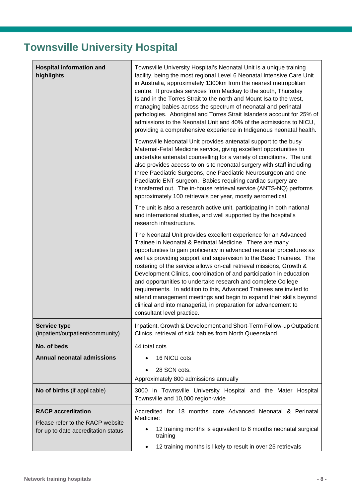# <span id="page-7-0"></span>**Townsville University Hospital**

| <b>Hospital information and</b><br>highlights                           | Townsville University Hospital's Neonatal Unit is a unique training<br>facility, being the most regional Level 6 Neonatal Intensive Care Unit<br>in Australia, approximately 1300km from the nearest metropolitan<br>centre. It provides services from Mackay to the south, Thursday<br>Island in the Torres Strait to the north and Mount Isa to the west,<br>managing babies across the spectrum of neonatal and perinatal<br>pathologies. Aboriginal and Torres Strait Islanders account for 25% of<br>admissions to the Neonatal Unit and 40% of the admissions to NICU,<br>providing a comprehensive experience in Indigenous neonatal health.                                                                                      |  |
|-------------------------------------------------------------------------|------------------------------------------------------------------------------------------------------------------------------------------------------------------------------------------------------------------------------------------------------------------------------------------------------------------------------------------------------------------------------------------------------------------------------------------------------------------------------------------------------------------------------------------------------------------------------------------------------------------------------------------------------------------------------------------------------------------------------------------|--|
|                                                                         | Townsville Neonatal Unit provides antenatal support to the busy<br>Maternal-Fetal Medicine service, giving excellent opportunities to<br>undertake antenatal counselling for a variety of conditions. The unit<br>also provides access to on-site neonatal surgery with staff including<br>three Paediatric Surgeons, one Paediatric Neurosurgeon and one<br>Paediatric ENT surgeon. Babies requiring cardiac surgery are<br>transferred out. The in-house retrieval service (ANTS-NQ) performs<br>approximately 100 retrievals per year, mostly aeromedical.                                                                                                                                                                            |  |
|                                                                         | The unit is also a research active unit, participating in both national<br>and international studies, and well supported by the hospital's<br>research infrastructure.                                                                                                                                                                                                                                                                                                                                                                                                                                                                                                                                                                   |  |
|                                                                         | The Neonatal Unit provides excellent experience for an Advanced<br>Trainee in Neonatal & Perinatal Medicine. There are many<br>opportunities to gain proficiency in advanced neonatal procedures as<br>well as providing support and supervision to the Basic Trainees. The<br>rostering of the service allows on-call retrieval missions, Growth &<br>Development Clinics, coordination of and participation in education<br>and opportunities to undertake research and complete College<br>requirements. In addition to this, Advanced Trainees are invited to<br>attend management meetings and begin to expand their skills beyond<br>clinical and into managerial, in preparation for advancement to<br>consultant level practice. |  |
| <b>Service type</b><br>(inpatient/outpatient/community)                 | Inpatient, Growth & Development and Short-Term Follow-up Outpatient<br>Clinics, retrieval of sick babies from North Queensland                                                                                                                                                                                                                                                                                                                                                                                                                                                                                                                                                                                                           |  |
| No. of beds                                                             | 44 total cots                                                                                                                                                                                                                                                                                                                                                                                                                                                                                                                                                                                                                                                                                                                            |  |
| <b>Annual neonatal admissions</b>                                       | 16 NICU cots                                                                                                                                                                                                                                                                                                                                                                                                                                                                                                                                                                                                                                                                                                                             |  |
|                                                                         | 28 SCN cots.<br>Approximately 800 admissions annually                                                                                                                                                                                                                                                                                                                                                                                                                                                                                                                                                                                                                                                                                    |  |
| No of births (if applicable)                                            | 3000 in Townsville University Hospital and the Mater Hospital<br>Townsville and 10,000 region-wide                                                                                                                                                                                                                                                                                                                                                                                                                                                                                                                                                                                                                                       |  |
| <b>RACP</b> accreditation                                               | Accredited for 18 months core Advanced Neonatal & Perinatal                                                                                                                                                                                                                                                                                                                                                                                                                                                                                                                                                                                                                                                                              |  |
| Please refer to the RACP website<br>for up to date accreditation status | Medicine:<br>12 training months is equivalent to 6 months neonatal surgical<br>$\bullet$<br>training<br>12 training months is likely to result in over 25 retrievals                                                                                                                                                                                                                                                                                                                                                                                                                                                                                                                                                                     |  |